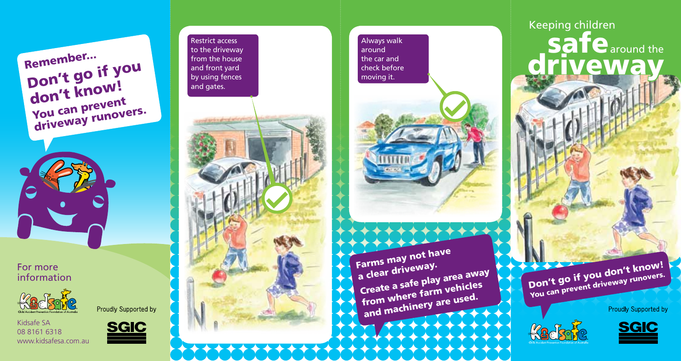Remember... Don't go if you don't know! You can prevent driveway runovers.

For more information



Proudly Supported by

Kidsafe SA 08 8161 6318 www.kidsafesa.com.au



Restrict access to the driveway from the house and front yard by using fences



**Always walk** around the car and check before moving it.



Farms may not have a clear driveway. Create a safe play area away from where farm vehicles and machinery are used.

Don't go if you don't know! You can prevent driveway runovers.

Keeping children

**Safe** around the

driveway

**Proudly Supported by**